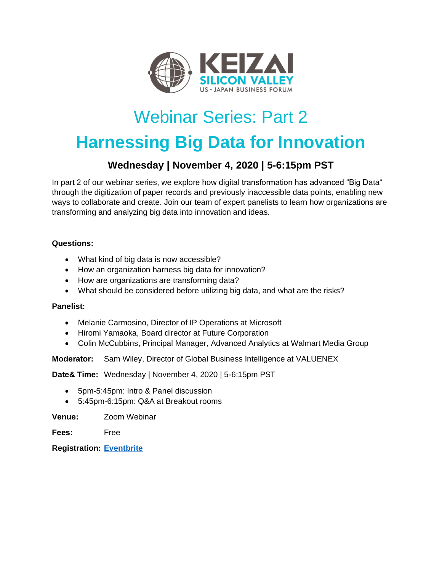

## Webinar Series: Part 2

# **Harnessing Big Data for Innovation**

### **Wednesday | November 4, 2020 | 5-6:15pm PST**

In part 2 of our webinar series, we explore how digital transformation has advanced "Big Data" through the digitization of paper records and previously inaccessible data points, enabling new ways to collaborate and create. Join our team of expert panelists to learn how organizations are transforming and analyzing big data into innovation and ideas.

### **Questions:**

- What kind of big data is now accessible?
- How an organization harness big data for innovation?
- How are organizations are transforming data?
- What should be considered before utilizing big data, and what are the risks?

### **Panelist:**

- Melanie Carmosino, Director of IP Operations at Microsoft
- Hiromi Yamaoka, Board director at Future Corporation
- Colin McCubbins, Principal Manager, Advanced Analytics at Walmart Media Group

**Moderator:** Sam Wiley, Director of Global Business Intelligence at VALUENEX

**Date& Time:** Wednesday | November 4, 2020 | 5-6:15pm PST

- 5pm-5:45pm: Intro & Panel discussion
- 5:45pm-6:15pm: Q&A at Breakout rooms

**Venue:** Zoom Webinar

**Fees:** Free

**Registration: [Eventbrite](https://www.eventbrite.com/e/keizai-webinarpart-2-harnessing-big-data-for-innovation-2020-11-04-tickets-126311028687)**